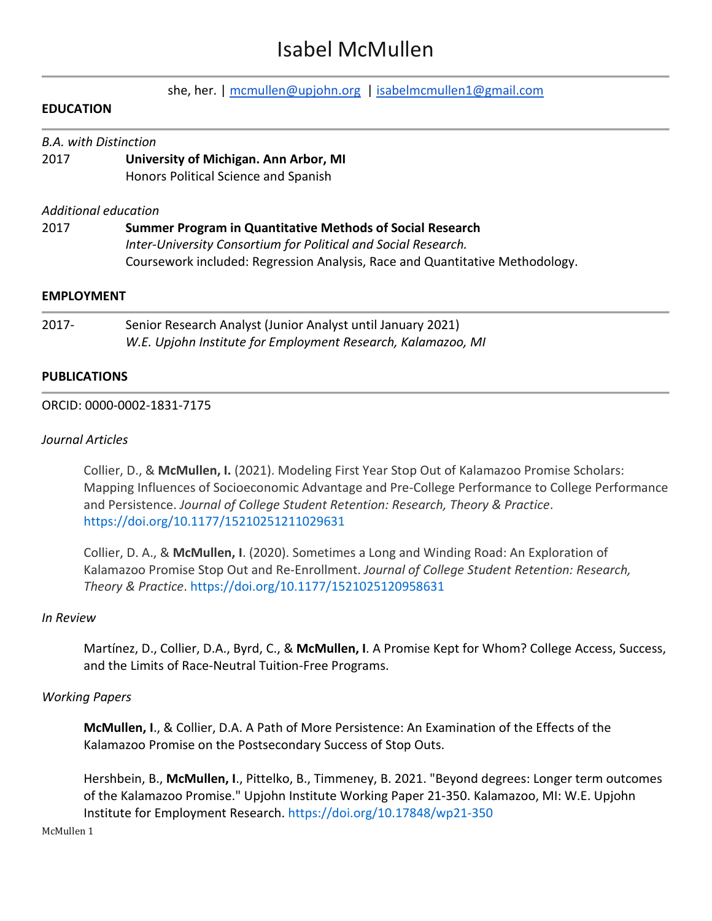# Isabel McMullen

|                   | she, her.   mcmullen@upjohn.org   isabelmcmullen1@gmail.com                  |  |
|-------------------|------------------------------------------------------------------------------|--|
| <b>EDUCATION</b>  |                                                                              |  |
|                   | <b>B.A.</b> with Distinction                                                 |  |
| 2017              | University of Michigan. Ann Arbor, MI                                        |  |
|                   | Honors Political Science and Spanish                                         |  |
|                   | Additional education                                                         |  |
| 2017              | Summer Program in Quantitative Methods of Social Research                    |  |
|                   | Inter-University Consortium for Political and Social Research.               |  |
|                   | Coursework included: Regression Analysis, Race and Quantitative Methodology. |  |
| <b>EMPLOYMENT</b> |                                                                              |  |
| $2017 -$          | Senior Research Analyst (Junior Analyst until January 2021)                  |  |

*W.E. Upjohn Institute for Employment Research, Kalamazoo, MI*

## **PUBLICATIONS**

## ORCID: 0000-0002-1831-7175

## *Journal Articles*

Collier, D., & **McMullen, I.** (2021). Modeling First Year Stop Out of Kalamazoo Promise Scholars: Mapping Influences of Socioeconomic Advantage and Pre-College Performance to College Performance and Persistence. *Journal of College Student Retention: Research, Theory & Practice*. <https://doi.org/10.1177/15210251211029631>

Collier, D. A., & **McMullen, I**. (2020). Sometimes a Long and Winding Road: An Exploration of Kalamazoo Promise Stop Out and Re-Enrollment. *Journal of College Student Retention: Research, Theory & Practice*[. https://doi.org/10.1177/1521025120958631](https://doi.org/10.1177/1521025120958631)

## *In Review*

Martínez, D., Collier, D.A., Byrd, C., & **McMullen, I**. A Promise Kept for Whom? College Access, Success, and the Limits of Race-Neutral Tuition-Free Programs.

## *Working Papers*

**McMullen, I**., & Collier, D.A. A Path of More Persistence: An Examination of the Effects of the Kalamazoo Promise on the Postsecondary Success of Stop Outs.

Hershbein, B., **McMullen, I**., Pittelko, B., Timmeney, B. 2021. "Beyond degrees: Longer term outcomes of the Kalamazoo Promise." Upjohn Institute Working Paper 21-350. Kalamazoo, MI: W.E. Upjohn Institute for Employment Research.<https://doi.org/10.17848/wp21-350>

McMullen 1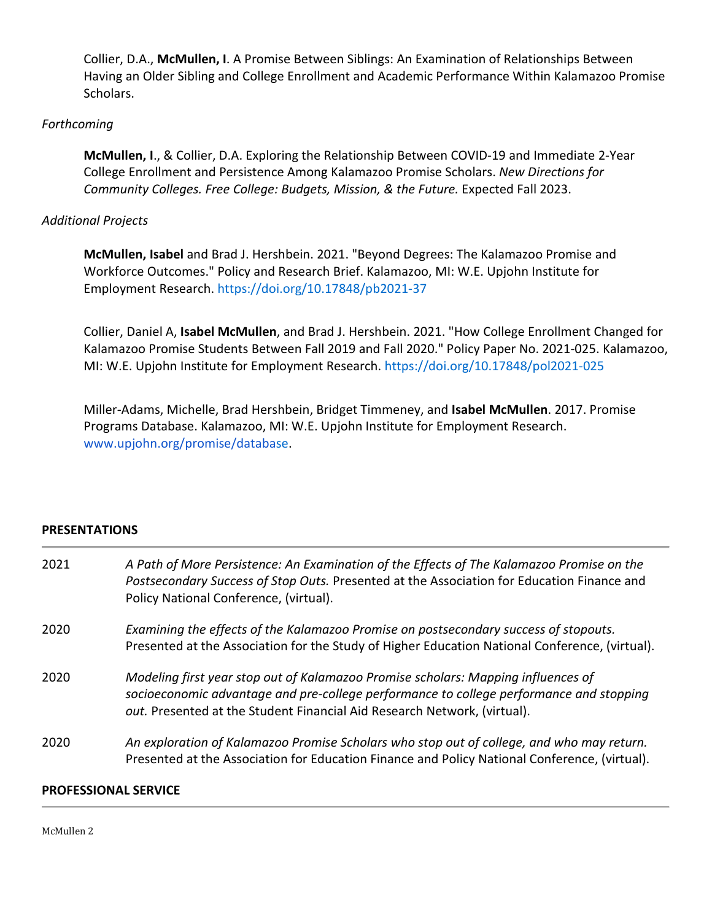Collier, D.A., **McMullen, I**. A Promise Between Siblings: An Examination of Relationships Between Having an Older Sibling and College Enrollment and Academic Performance Within Kalamazoo Promise Scholars.

## *Forthcoming*

**McMullen, I**., & Collier, D.A. Exploring the Relationship Between COVID-19 and Immediate 2-Year College Enrollment and Persistence Among Kalamazoo Promise Scholars. *New Directions for Community Colleges. Free College: Budgets, Mission, & the Future.* Expected Fall 2023.

## *Additional Projects*

**McMullen, Isabel** and Brad J. Hershbein. 2021. "Beyond Degrees: The Kalamazoo Promise and Workforce Outcomes." Policy and Research Brief. Kalamazoo, MI: W.E. Upjohn Institute for Employment Research.<https://doi.org/10.17848/pb2021-37>

Collier, Daniel A, **Isabel McMullen**, and Brad J. Hershbein. 2021. "How College Enrollment Changed for Kalamazoo Promise Students Between Fall 2019 and Fall 2020." Policy Paper No. 2021-025. Kalamazoo, MI: W.E. Upjohn Institute for Employment Research.<https://doi.org/10.17848/pol2021-025>

Miller-Adams, Michelle, Brad Hershbein, Bridget Timmeney, and **Isabel McMullen**. 2017. Promise Programs Database. Kalamazoo, MI: W.E. Upjohn Institute for Employment Research. [www.upjohn.org/promise/database.](http://www.upjohn.org/promise/database)

## **PRESENTATIONS**

| 2021 | A Path of More Persistence: An Examination of the Effects of The Kalamazoo Promise on the<br>Postsecondary Success of Stop Outs. Presented at the Association for Education Finance and<br>Policy National Conference, (virtual).                        |
|------|----------------------------------------------------------------------------------------------------------------------------------------------------------------------------------------------------------------------------------------------------------|
| 2020 | Examining the effects of the Kalamazoo Promise on postsecondary success of stopouts.<br>Presented at the Association for the Study of Higher Education National Conference, (virtual).                                                                   |
| 2020 | Modeling first year stop out of Kalamazoo Promise scholars: Mapping influences of<br>socioeconomic advantage and pre-college performance to college performance and stopping<br>out. Presented at the Student Financial Aid Research Network, (virtual). |
| 2020 | An exploration of Kalamazoo Promise Scholars who stop out of college, and who may return.<br>Presented at the Association for Education Finance and Policy National Conference, (virtual).                                                               |

#### **PROFESSIONAL SERVICE**

McMullen 2